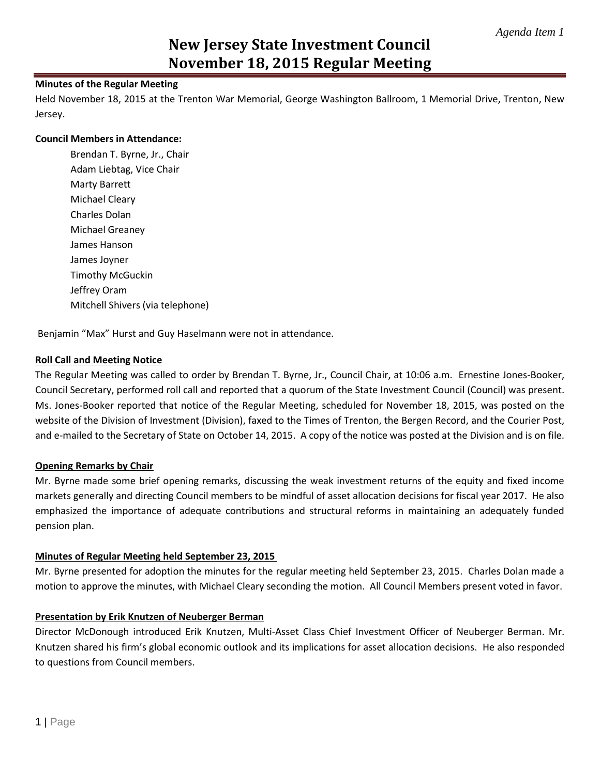## **Minutes of the Regular Meeting**

Held November 18, 2015 at the Trenton War Memorial, George Washington Ballroom, 1 Memorial Drive, Trenton, New Jersey.

#### **Council Members in Attendance:**

Brendan T. Byrne, Jr., Chair Adam Liebtag, Vice Chair Marty Barrett Michael Cleary Charles Dolan Michael Greaney James Hanson James Joyner Timothy McGuckin Jeffrey Oram Mitchell Shivers (via telephone)

Benjamin "Max" Hurst and Guy Haselmann were not in attendance.

### **Roll Call and Meeting Notice**

The Regular Meeting was called to order by Brendan T. Byrne, Jr., Council Chair, at 10:06 a.m. Ernestine Jones-Booker, Council Secretary, performed roll call and reported that a quorum of the State Investment Council (Council) was present. Ms. Jones-Booker reported that notice of the Regular Meeting, scheduled for November 18, 2015, was posted on the website of the Division of Investment (Division), faxed to the Times of Trenton, the Bergen Record, and the Courier Post, and e-mailed to the Secretary of State on October 14, 2015. A copy of the notice was posted at the Division and is on file.

### **Opening Remarks by Chair**

Mr. Byrne made some brief opening remarks, discussing the weak investment returns of the equity and fixed income markets generally and directing Council members to be mindful of asset allocation decisions for fiscal year 2017. He also emphasized the importance of adequate contributions and structural reforms in maintaining an adequately funded pension plan.

### **Minutes of Regular Meeting held September 23, 2015**

Mr. Byrne presented for adoption the minutes for the regular meeting held September 23, 2015. Charles Dolan made a motion to approve the minutes, with Michael Cleary seconding the motion. All Council Members present voted in favor.

### **Presentation by Erik Knutzen of Neuberger Berman**

Director McDonough introduced Erik Knutzen, Multi-Asset Class Chief Investment Officer of Neuberger Berman. Mr. Knutzen shared his firm's global economic outlook and its implications for asset allocation decisions. He also responded to questions from Council members.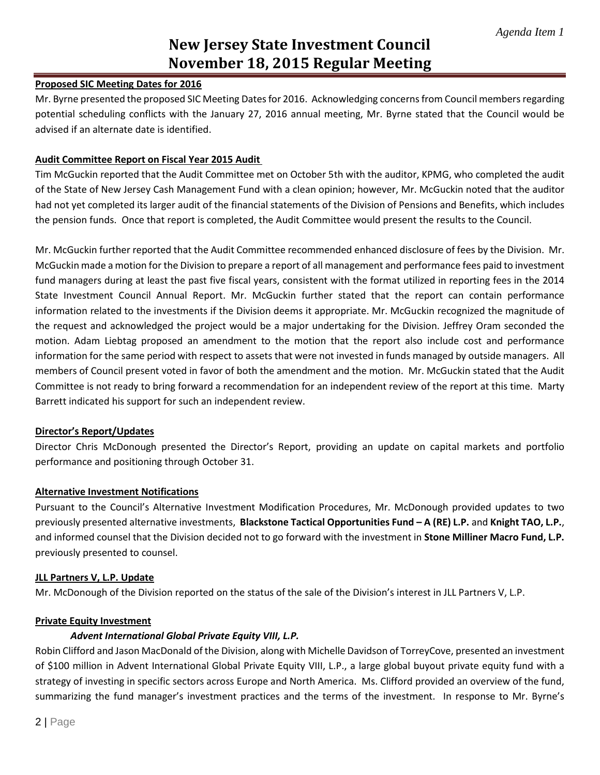#### **Proposed SIC Meeting Dates for 2016**

Mr. Byrne presented the proposed SIC Meeting Dates for 2016. Acknowledging concerns from Council members regarding potential scheduling conflicts with the January 27, 2016 annual meeting, Mr. Byrne stated that the Council would be advised if an alternate date is identified.

#### **Audit Committee Report on Fiscal Year 2015 Audit**

Tim McGuckin reported that the Audit Committee met on October 5th with the auditor, KPMG, who completed the audit of the State of New Jersey Cash Management Fund with a clean opinion; however, Mr. McGuckin noted that the auditor had not yet completed its larger audit of the financial statements of the Division of Pensions and Benefits, which includes the pension funds. Once that report is completed, the Audit Committee would present the results to the Council.

Mr. McGuckin further reported that the Audit Committee recommended enhanced disclosure of fees by the Division. Mr. McGuckin made a motion for the Division to prepare a report of all management and performance fees paid to investment fund managers during at least the past five fiscal years, consistent with the format utilized in reporting fees in the 2014 State Investment Council Annual Report. Mr. McGuckin further stated that the report can contain performance information related to the investments if the Division deems it appropriate. Mr. McGuckin recognized the magnitude of the request and acknowledged the project would be a major undertaking for the Division. Jeffrey Oram seconded the motion. Adam Liebtag proposed an amendment to the motion that the report also include cost and performance information for the same period with respect to assets that were not invested in funds managed by outside managers. All members of Council present voted in favor of both the amendment and the motion. Mr. McGuckin stated that the Audit Committee is not ready to bring forward a recommendation for an independent review of the report at this time. Marty Barrett indicated his support for such an independent review.

#### **Director's Report/Updates**

Director Chris McDonough presented the Director's Report, providing an update on capital markets and portfolio performance and positioning through October 31.

### **Alternative Investment Notifications**

Pursuant to the Council's Alternative Investment Modification Procedures, Mr. McDonough provided updates to two previously presented alternative investments, **Blackstone Tactical Opportunities Fund – A (RE) L.P.** and **Knight TAO, L.P.**, and informed counsel that the Division decided not to go forward with the investment in **Stone Milliner Macro Fund, L.P.** previously presented to counsel.

#### **JLL Partners V, L.P. Update**

Mr. McDonough of the Division reported on the status of the sale of the Division's interest in JLL Partners V, L.P.

#### **Private Equity Investment**

### *Advent International Global Private Equity VIII, L.P.*

Robin Clifford and Jason MacDonald of the Division, along with Michelle Davidson of TorreyCove, presented an investment of \$100 million in Advent International Global Private Equity VIII, L.P., a large global buyout private equity fund with a strategy of investing in specific sectors across Europe and North America. Ms. Clifford provided an overview of the fund, summarizing the fund manager's investment practices and the terms of the investment. In response to Mr. Byrne's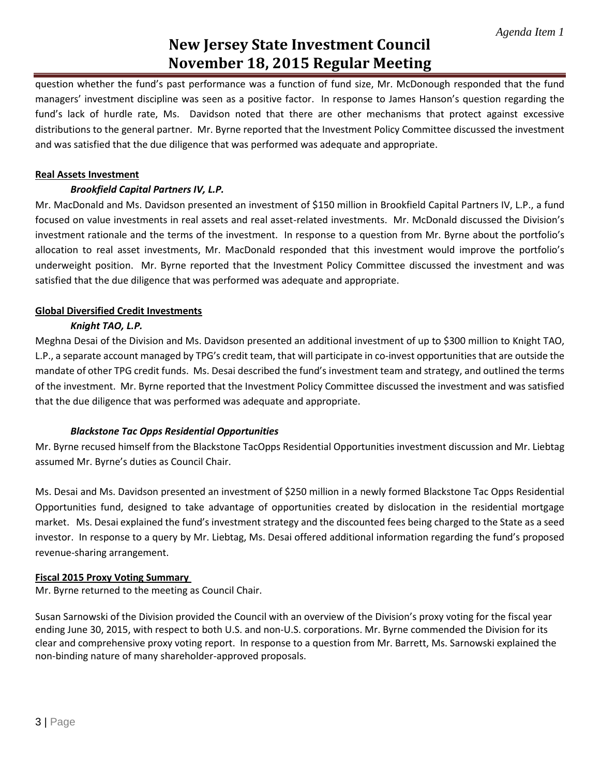question whether the fund's past performance was a function of fund size, Mr. McDonough responded that the fund managers' investment discipline was seen as a positive factor. In response to James Hanson's question regarding the fund's lack of hurdle rate, Ms. Davidson noted that there are other mechanisms that protect against excessive distributions to the general partner. Mr. Byrne reported that the Investment Policy Committee discussed the investment and was satisfied that the due diligence that was performed was adequate and appropriate.

## **Real Assets Investment**

## *Brookfield Capital Partners IV, L.P.*

Mr. MacDonald and Ms. Davidson presented an investment of \$150 million in Brookfield Capital Partners IV, L.P., a fund focused on value investments in real assets and real asset-related investments. Mr. McDonald discussed the Division's investment rationale and the terms of the investment. In response to a question from Mr. Byrne about the portfolio's allocation to real asset investments, Mr. MacDonald responded that this investment would improve the portfolio's underweight position. Mr. Byrne reported that the Investment Policy Committee discussed the investment and was satisfied that the due diligence that was performed was adequate and appropriate.

## **Global Diversified Credit Investments**

# *Knight TAO, L.P.*

Meghna Desai of the Division and Ms. Davidson presented an additional investment of up to \$300 million to Knight TAO, L.P., a separate account managed by TPG's credit team, that will participate in co-invest opportunities that are outside the mandate of other TPG credit funds. Ms. Desai described the fund's investment team and strategy, and outlined the terms of the investment. Mr. Byrne reported that the Investment Policy Committee discussed the investment and was satisfied that the due diligence that was performed was adequate and appropriate.

# *Blackstone Tac Opps Residential Opportunities*

Mr. Byrne recused himself from the Blackstone TacOpps Residential Opportunities investment discussion and Mr. Liebtag assumed Mr. Byrne's duties as Council Chair.

Ms. Desai and Ms. Davidson presented an investment of \$250 million in a newly formed Blackstone Tac Opps Residential Opportunities fund, designed to take advantage of opportunities created by dislocation in the residential mortgage market. Ms. Desai explained the fund's investment strategy and the discounted fees being charged to the State as a seed investor. In response to a query by Mr. Liebtag, Ms. Desai offered additional information regarding the fund's proposed revenue-sharing arrangement.

### **Fiscal 2015 Proxy Voting Summary**

Mr. Byrne returned to the meeting as Council Chair.

Susan Sarnowski of the Division provided the Council with an overview of the Division's proxy voting for the fiscal year ending June 30, 2015, with respect to both U.S. and non-U.S. corporations. Mr. Byrne commended the Division for its clear and comprehensive proxy voting report. In response to a question from Mr. Barrett, Ms. Sarnowski explained the non-binding nature of many shareholder-approved proposals.